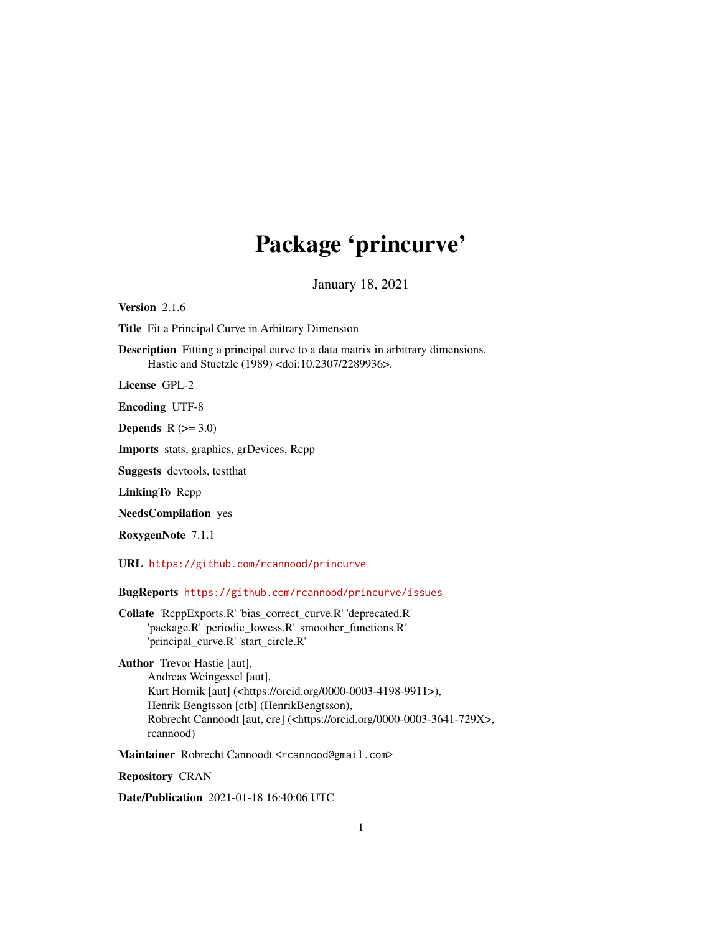## Package 'princurve'

January 18, 2021

Version 2.1.6

Title Fit a Principal Curve in Arbitrary Dimension

Description Fitting a principal curve to a data matrix in arbitrary dimensions. Hastie and Stuetzle (1989) <doi:10.2307/2289936>.

License GPL-2

Encoding UTF-8

Depends  $R$  ( $>= 3.0$ )

Imports stats, graphics, grDevices, Rcpp

Suggests devtools, testthat

LinkingTo Rcpp

NeedsCompilation yes

RoxygenNote 7.1.1

URL <https://github.com/rcannood/princurve>

BugReports <https://github.com/rcannood/princurve/issues>

Collate 'RcppExports.R' 'bias\_correct\_curve.R' 'deprecated.R' 'package.R' 'periodic\_lowess.R' 'smoother\_functions.R' 'principal\_curve.R' 'start\_circle.R'

Author Trevor Hastie [aut], Andreas Weingessel [aut], Kurt Hornik [aut] (<https://orcid.org/0000-0003-4198-9911>), Henrik Bengtsson [ctb] (HenrikBengtsson), Robrecht Cannoodt [aut, cre] (<https://orcid.org/0000-0003-3641-729X>, rcannood)

Maintainer Robrecht Cannoodt <rcannood@gmail.com>

Repository CRAN

Date/Publication 2021-01-18 16:40:06 UTC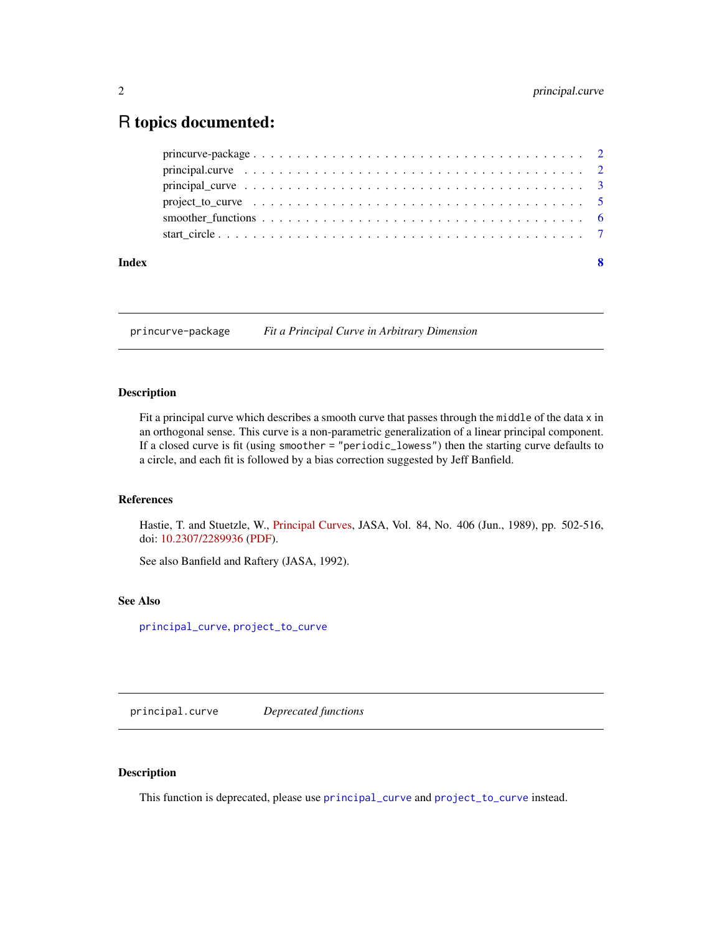### <span id="page-1-0"></span>R topics documented:

| Index | $\mathbf{8}$ |
|-------|--------------|
|       |              |
|       |              |
|       |              |
|       |              |
|       |              |
|       |              |

princurve-package *Fit a Principal Curve in Arbitrary Dimension*

#### Description

Fit a principal curve which describes a smooth curve that passes through the middle of the data x in an orthogonal sense. This curve is a non-parametric generalization of a linear principal component. If a closed curve is fit (using smoother = "periodic\_lowess") then the starting curve defaults to a circle, and each fit is followed by a bias correction suggested by Jeff Banfield.

#### References

Hastie, T. and Stuetzle, W., [Principal Curves,](https://www.jstor.org/stable/2289936) JASA, Vol. 84, No. 406 (Jun., 1989), pp. 502-516, doi: [10.2307/2289936](https://doi.org/10.2307/2289936) [\(PDF\)](https://web.stanford.edu/~hastie/Papers/principalcurves.pdf).

See also Banfield and Raftery (JASA, 1992).

#### See Also

[principal\\_curve](#page-2-1), [project\\_to\\_curve](#page-4-1)

principal.curve *Deprecated functions*

#### Description

This function is deprecated, please use [principal\\_curve](#page-2-1) and [project\\_to\\_curve](#page-4-1) instead.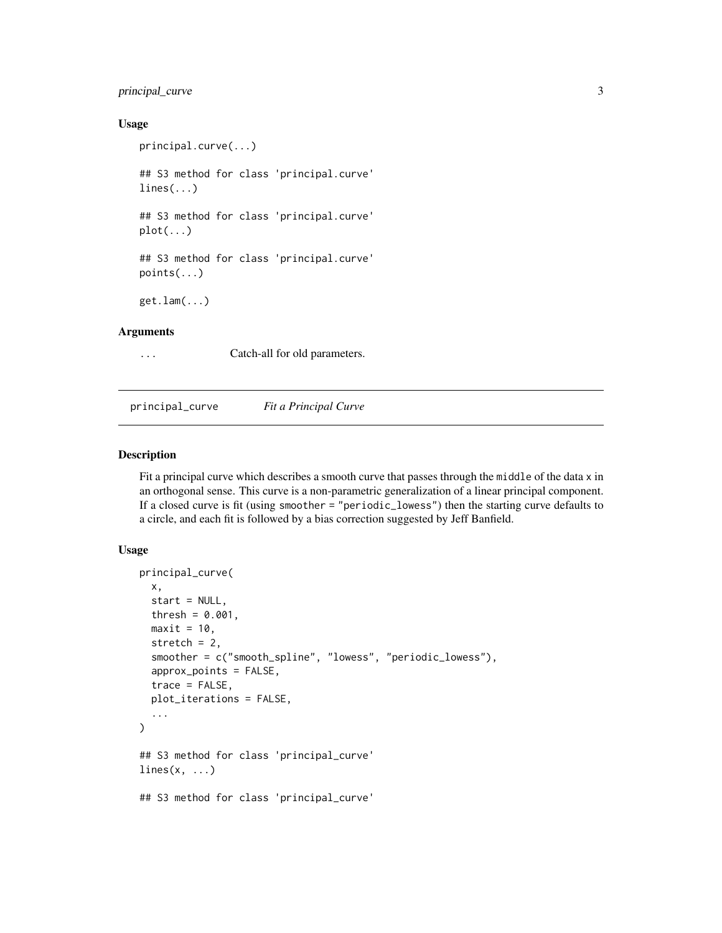#### <span id="page-2-0"></span>principal\_curve 3

#### Usage

```
principal.curve(...)
   ## S3 method for class 'principal.curve'
   lines(...)## S3 method for class 'principal.curve'
   plot(...)## S3 method for class 'principal.curve'
   points(...)
   get.lam(...)
Arguments
```
... Catch-all for old parameters.

<span id="page-2-1"></span>principal\_curve *Fit a Principal Curve*

#### Description

Fit a principal curve which describes a smooth curve that passes through the middle of the data x in an orthogonal sense. This curve is a non-parametric generalization of a linear principal component. If a closed curve is fit (using smoother = "periodic\_lowess") then the starting curve defaults to a circle, and each fit is followed by a bias correction suggested by Jeff Banfield.

#### Usage

```
principal_curve(
  x,
  start = NULL,
  thresh = 0.001,
 maxit = 10,
  stretch = 2,
  smoother = c("smooth_spline", "lowess", "periodic_lowess"),
  approx_points = FALSE,
  trace = FALSE,plot_iterations = FALSE,
  ...
\mathcal{L}## S3 method for class 'principal_curve'
lines(x, \ldots)## S3 method for class 'principal_curve'
```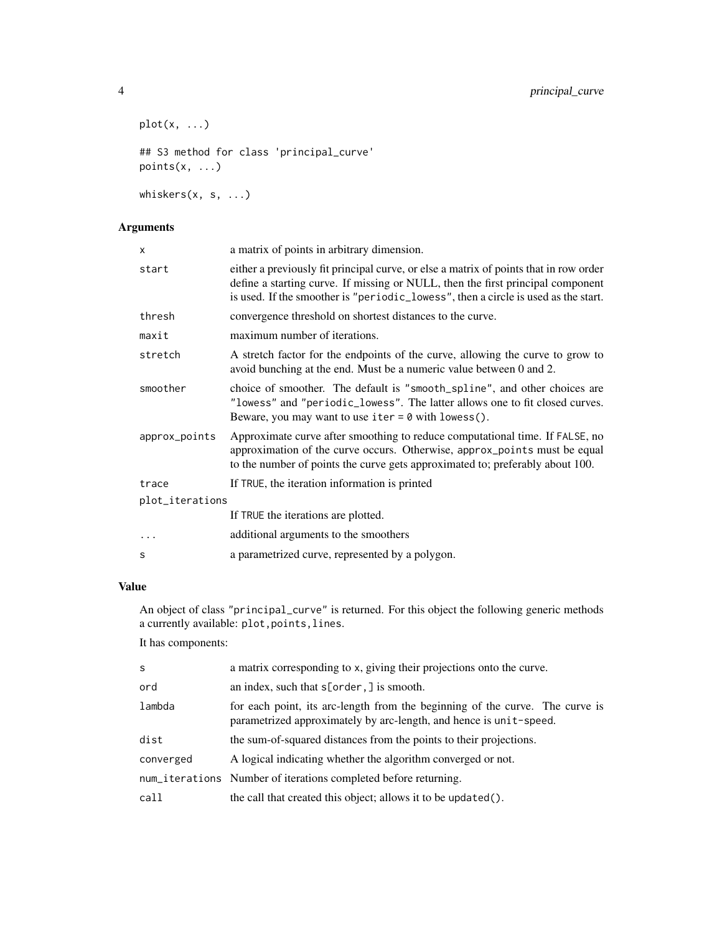```
plot(x, \ldots)## S3 method for class 'principal_curve'
points(x, ...)
whiskers(x, s, ...)
```
#### Arguments

| x               | a matrix of points in arbitrary dimension.                                                                                                                                                                                                                     |
|-----------------|----------------------------------------------------------------------------------------------------------------------------------------------------------------------------------------------------------------------------------------------------------------|
| start           | either a previously fit principal curve, or else a matrix of points that in row order<br>define a starting curve. If missing or NULL, then the first principal component<br>is used. If the smoother is "periodic_lowess", then a circle is used as the start. |
| thresh          | convergence threshold on shortest distances to the curve.                                                                                                                                                                                                      |
| maxit           | maximum number of iterations.                                                                                                                                                                                                                                  |
| stretch         | A stretch factor for the endpoints of the curve, allowing the curve to grow to<br>avoid bunching at the end. Must be a numeric value between 0 and 2.                                                                                                          |
| smoother        | choice of smoother. The default is "smooth_spline", and other choices are<br>"lowess" and "periodic_lowess". The latter allows one to fit closed curves.<br>Beware, you may want to use $iter = 0$ with lowess().                                              |
| approx_points   | Approximate curve after smoothing to reduce computational time. If FALSE, no<br>approximation of the curve occurs. Otherwise, approx_points must be equal<br>to the number of points the curve gets approximated to; preferably about 100.                     |
| trace           | If TRUE, the iteration information is printed                                                                                                                                                                                                                  |
| plot_iterations |                                                                                                                                                                                                                                                                |
|                 | If TRUE the iterations are plotted.                                                                                                                                                                                                                            |
| .               | additional arguments to the smoothers                                                                                                                                                                                                                          |
| S               | a parametrized curve, represented by a polygon.                                                                                                                                                                                                                |

#### Value

An object of class "principal\_curve" is returned. For this object the following generic methods a currently available: plot,points,lines.

It has components:

| a matrix corresponding to x, giving their projections onto the curve.                                                                              |
|----------------------------------------------------------------------------------------------------------------------------------------------------|
| an index, such that $s[order, ]$ is smooth.                                                                                                        |
| for each point, its arc-length from the beginning of the curve. The curve is<br>parametrized approximately by arc-length, and hence is unit-speed. |
| the sum-of-squared distances from the points to their projections.                                                                                 |
| A logical indicating whether the algorithm converged or not.                                                                                       |
| num_iterations Number of iterations completed before returning.                                                                                    |
| the call that created this object; allows it to be updated().                                                                                      |
|                                                                                                                                                    |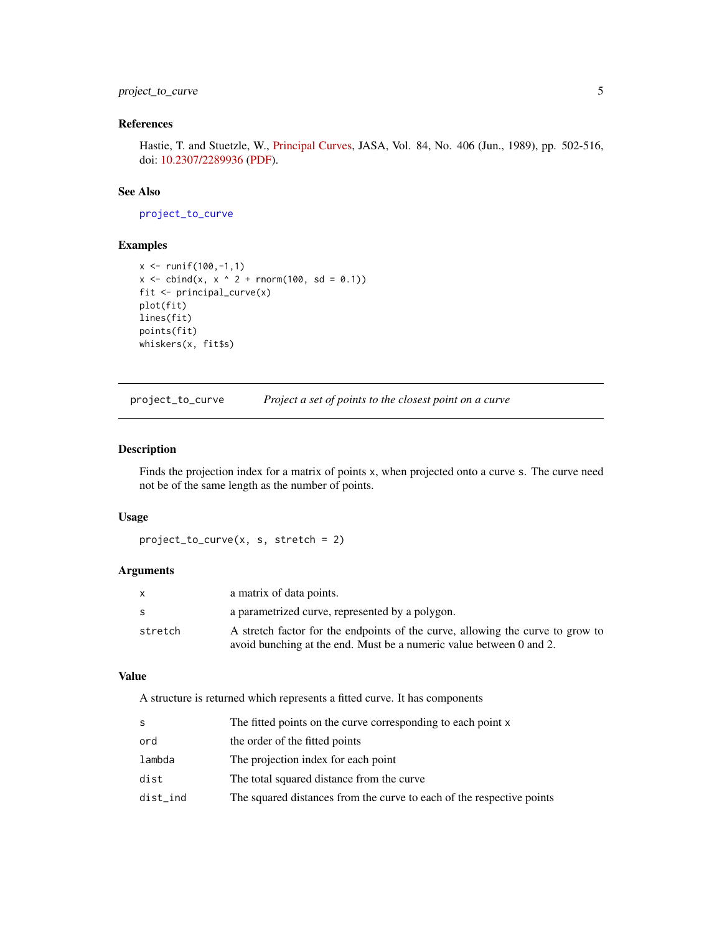#### <span id="page-4-0"></span>project\_to\_curve 5

#### References

Hastie, T. and Stuetzle, W., [Principal Curves,](https://www.jstor.org/stable/2289936) JASA, Vol. 84, No. 406 (Jun., 1989), pp. 502-516, doi: [10.2307/2289936](https://doi.org/10.2307/2289936) [\(PDF\)](https://web.stanford.edu/~hastie/Papers/principalcurves.pdf).

#### See Also

[project\\_to\\_curve](#page-4-1)

#### Examples

```
x <- runif(100,-1,1)
x \le - \text{cbind}(x, x^2 + \text{norm}(100, \text{sd} = 0.1))fit <- principal_curve(x)
plot(fit)
lines(fit)
points(fit)
whiskers(x, fit$s)
```
<span id="page-4-1"></span>project\_to\_curve *Project a set of points to the closest point on a curve*

#### Description

Finds the projection index for a matrix of points x, when projected onto a curve s. The curve need not be of the same length as the number of points.

#### Usage

```
project_to_curve(x, s, stretch = 2)
```
#### Arguments

| X       | a matrix of data points.                                                       |
|---------|--------------------------------------------------------------------------------|
| S.      | a parametrized curve, represented by a polygon.                                |
| stretch | A stretch factor for the endpoints of the curve, allowing the curve to grow to |
|         | avoid bunching at the end. Must be a numeric value between 0 and 2.            |

#### Value

A structure is returned which represents a fitted curve. It has components

| S        | The fitted points on the curve corresponding to each point x          |
|----------|-----------------------------------------------------------------------|
| ord      | the order of the fitted points                                        |
| lambda   | The projection index for each point                                   |
| dist     | The total squared distance from the curve                             |
| dist_ind | The squared distances from the curve to each of the respective points |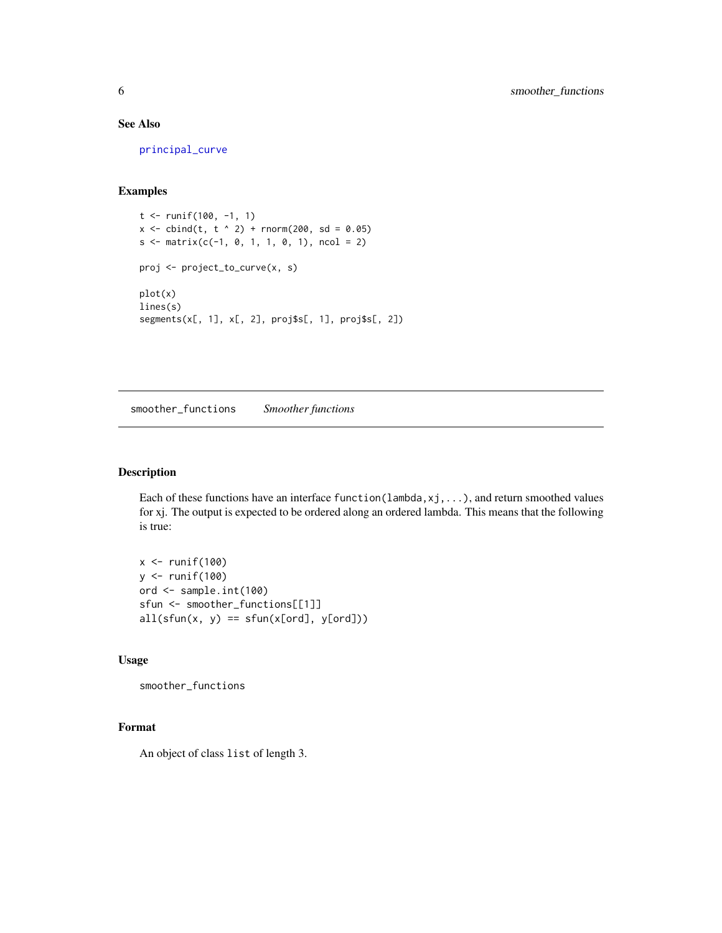#### See Also

[principal\\_curve](#page-2-1)

#### Examples

```
t <- runif(100, -1, 1)
x \le - \text{cbind}(t, t^2) + \text{norm}(200, \text{sd} = 0.05)s \le matrix(c(-1, 0, 1, 1, 0, 1), ncol = 2)
proj <- project_to_curve(x, s)
plot(x)
lines(s)
segments(x[, 1], x[, 2], proj$s[, 1], proj$s[, 2])
```
smoother\_functions *Smoother functions*

#### Description

Each of these functions have an interface function(lambda,xj,...), and return smoothed values for xj. The output is expected to be ordered along an ordered lambda. This means that the following is true:

 $x \leftarrow runif(100)$ y <- runif(100) ord <- sample.int(100) sfun <- smoother\_functions[[1]]  $all(sfun(x, y) == sfun(x[ord], y[ord]))$ 

#### Usage

smoother\_functions

#### Format

An object of class list of length 3.

<span id="page-5-0"></span>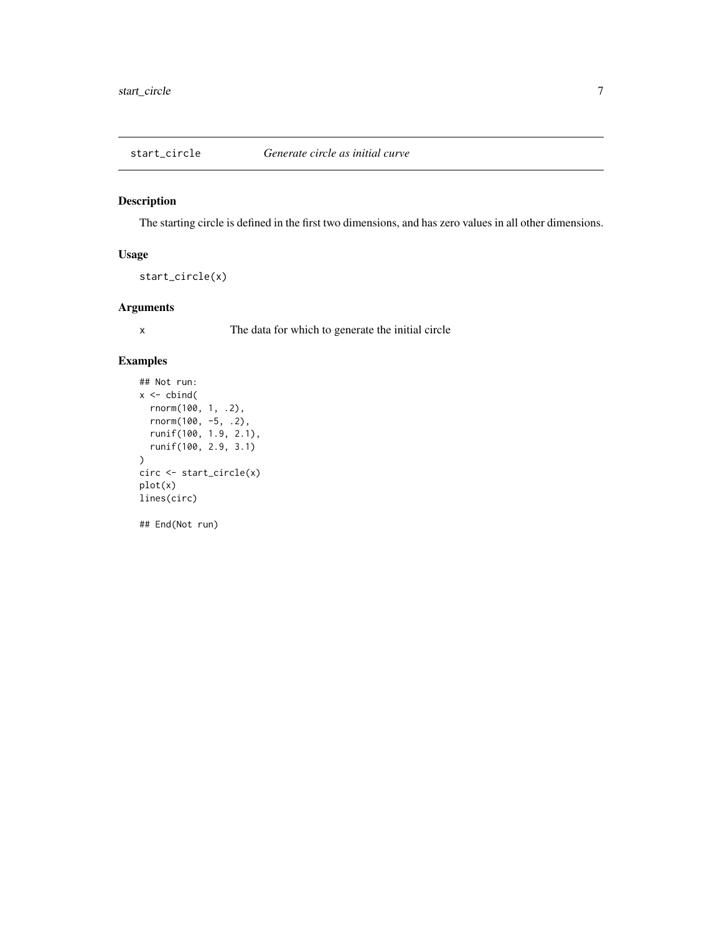<span id="page-6-0"></span>

#### Description

The starting circle is defined in the first two dimensions, and has zero values in all other dimensions.

#### Usage

```
start_circle(x)
```
#### Arguments

x The data for which to generate the initial circle

#### Examples

```
## Not run:
x \leftarrow \text{cbind}(rnorm(100, 1, .2),
  rnorm(100, -5, .2),
  runif(100, 1.9, 2.1),
  runif(100, 2.9, 3.1)
\overline{\phantom{a}}circ <- start_circle(x)
plot(x)
lines(circ)
## End(Not run)
```